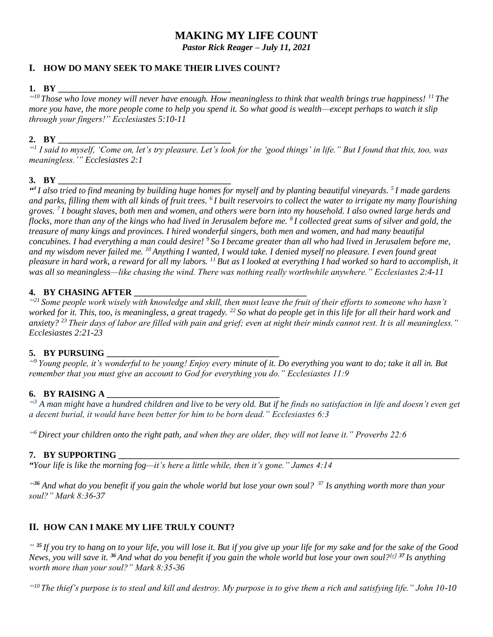# **MAKING MY LIFE COUNT**

*Pastor Rick Reager – July 11, 2021*

## **I. HOW DO MANY SEEK TO MAKE THEIR LIVES COUNT?**

### **1. BY \_\_\_\_\_\_\_\_\_\_\_\_\_\_\_\_\_\_\_\_\_\_\_\_\_\_\_\_\_\_\_\_\_\_\_\_\_\_\_**

*" <sup>10</sup> Those who love money will never have enough. How meaningless to think that wealth brings true happiness! <sup>11</sup> The more you have, the more people come to help you spend it. So what good is wealth—except perhaps to watch it slip through your fingers!" Ecclesiastes 5:10-11*

## **2. BY \_\_\_\_\_\_\_\_\_\_\_\_\_\_\_\_\_\_\_\_\_\_\_\_\_\_\_\_\_\_\_\_\_\_\_\_\_\_\_**

*" 1 I said to myself, 'Come on, let's try pleasure. Let's look for the 'good things' in life." But I found that this, too, was meaningless.'" Ecclesiastes 2:1*

### 3. **BY**

*" 4 I also tried to find meaning by building huge homes for myself and by planting beautiful vineyards. <sup>5</sup> I made gardens and parks, filling them with all kinds of fruit trees. <sup>6</sup> I built reservoirs to collect the water to irrigate my many flourishing groves. <sup>7</sup> I bought slaves, both men and women, and others were born into my household. I also owned large herds and flocks, more than any of the kings who had lived in Jerusalem before me. <sup>8</sup> I collected great sums of silver and gold, the treasure of many kings and provinces. I hired wonderful singers, both men and women, and had many beautiful concubines. I had everything a man could desire! <sup>9</sup> So I became greater than all who had lived in Jerusalem before me, and my wisdom never failed me. <sup>10</sup> Anything I wanted, I would take. I denied myself no pleasure. I even found great pleasure in hard work, a reward for all my labors. <sup>11</sup> But as I looked at everything I had worked so hard to accomplish, it was all so meaningless—like chasing the wind. There was nothing really worthwhile anywhere." Ecclesiastes 2:4-11*

### **4. BY CHASING AFTER**

*" <sup>21</sup> Some people work wisely with knowledge and skill, then must leave the fruit of their efforts to someone who hasn't worked for it. This, too, is meaningless, a great tragedy. <sup>22</sup> So what do people get in this life for all their hard work and anxiety? <sup>23</sup> Their days of labor are filled with pain and grief; even at night their minds cannot rest. It is all meaningless." Ecclesiastes 2:21-23*

## **5. BY PURSUING \_\_\_\_\_\_\_\_\_\_\_\_\_\_\_\_\_\_\_\_\_\_\_\_\_\_\_\_\_\_\_\_\_\_\_\_\_\_\_**

*" <sup>9</sup> Young people, it's wonderful to be young! Enjoy every minute of it. Do everything you want to do; take it all in. But remember that you must give an account to God for everything you do." Ecclesiastes 11:9*

## **6. BY RAISING A \_\_\_\_\_\_\_\_\_\_\_\_\_\_\_\_\_\_\_\_\_\_\_\_\_\_\_\_\_\_\_\_\_\_\_\_\_\_\_**

*" <sup>3</sup> A man might have a hundred children and live to be very old. But if he finds no satisfaction in life and doesn't even get a decent burial, it would have been better for him to be born dead." Ecclesiastes 6:3*

*" <sup>6</sup> Direct your children onto the right path, and when they are older, they will not leave it." Proverbs 22:6*

### **7. BY SUPPORTING**

*"Your life is like the morning fog—it's here a little while, then it's gone." James 4:14*

*" <sup>36</sup> And what do you benefit if you gain the whole world but lose your own soul? <sup>37</sup> Is anything worth more than your soul?" Mark 8:36-37*

## **II. HOW CAN I MAKE MY LIFE TRULY COUNT?**

*" <sup>35</sup> If you try to hang on to your life, you will lose it. But if you give up your life for my sake and for the sake of the Good News, you will save it. <sup>36</sup> And what do you benefit if you gain the whole world but lose your own soul?[\[e\]](https://www.biblegateway.com/passage/?search=mark+8&version=NLT#fen-NLT-24509e) <sup>37</sup> Is anything worth more than your soul?" Mark 8:35-36*

*" <sup>10</sup> The thief's purpose is to steal and kill and destroy. My purpose is to give them a rich and satisfying life." John 10-10*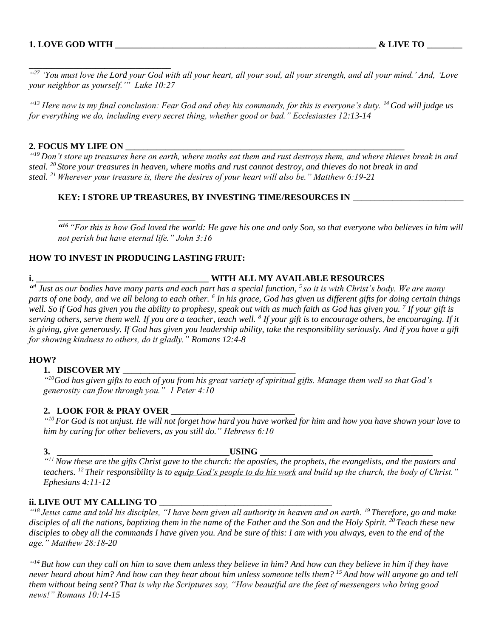**\_\_\_\_\_\_\_\_\_\_\_\_\_\_\_\_\_\_\_\_\_\_\_\_\_\_\_\_\_\_\_\_**

*" <sup>27</sup> 'You must love the Lord your God with all your heart, all your soul, all your strength, and all your mind.' And, 'Love your neighbor as yourself.'" Luke 10:27*

*" <sup>13</sup> Here now is my final conclusion: Fear God and obey his commands, for this is everyone's duty. <sup>14</sup> God will judge us for everything we do, including every secret thing, whether good or bad." Ecclesiastes 12:13-14*

#### **2. FOCUS MY LIFE ON \_\_\_\_\_\_\_\_\_\_\_\_\_\_\_\_\_\_\_\_\_\_\_\_\_\_\_\_\_\_\_\_\_\_\_\_\_\_\_\_\_\_\_\_\_\_\_\_\_\_\_\_\_\_\_\_\_\_\_\_\_\_\_**

*" <sup>19</sup> Don't store up treasures here on earth, where moths eat them and rust destroys them, and where thieves break in and steal. <sup>20</sup> Store your treasures in heaven, where moths and rust cannot destroy, and thieves do not break in and steal. <sup>21</sup> Wherever your treasure is, there the desires of your heart will also be." Matthew 6:19-21*

#### **KEY: I STORE UP TREASURES, BY INVESTING TIME/RESOURCES IN \_\_\_\_\_\_\_\_\_\_\_\_\_\_\_\_\_\_\_\_\_\_\_\_\_**

*" <sup>16</sup> "For this is how God loved the world: He gave his one and only Son, so that everyone who believes in him will not perish but have eternal life." John 3:16*

### **HOW TO INVEST IN PRODUCING LASTING FRUIT:**

**\_\_\_\_\_\_\_\_\_\_\_\_\_\_\_\_\_\_\_\_\_\_\_\_\_\_\_\_\_\_\_**

## **i. \_\_\_\_\_\_\_\_\_\_\_\_\_\_\_\_\_\_\_\_\_\_\_\_\_\_\_\_\_\_\_\_\_\_\_\_\_\_\_ WITH ALL MY AVAILABLE RESOURCES**

*" 4 Just as our bodies have many parts and each part has a special function, <sup>5</sup>so it is with Christ's body. We are many parts of one body, and we all belong to each other. <sup>6</sup> In his grace, God has given us different gifts for doing certain things well. So if God has given you the ability to prophesy, speak out with as much faith as God has given you. <sup>7</sup> If your gift is*  serving others, serve them well. If you are a teacher, teach well. <sup>8</sup> If your gift is to encourage others, be encouraging. If it is giving, give generously. If God has given you leadership ability, take the responsibility seriously. And if you have a gift *for showing kindness to others, do it gladly." Romans 12:4-8*

#### **HOW?**

#### **1. DISCOVER MY**

*" <sup>10</sup>God has given gifts to each of you from his great variety of spiritual gifts. Manage them well so that God's generosity can flow through you." 1 Peter 4:10*

#### **2. LOOK FOR & PRAY OVER \_\_\_\_\_\_\_\_\_\_\_\_\_\_\_\_\_\_\_\_\_\_\_\_\_\_\_\_**

*" <sup>10</sup> For God is not unjust. He will not forget how hard you have worked for him and how you have shown your love to him by caring for other believers, as you still do." Hebrews 6:10*

#### **3. \_\_\_\_\_\_\_\_\_\_\_\_\_\_\_\_\_\_\_\_\_\_\_\_\_\_\_\_\_\_\_\_\_\_\_\_\_\_\_USING \_\_\_\_\_\_\_\_\_\_\_\_\_\_\_\_\_\_\_\_\_\_\_\_\_\_\_\_\_\_\_\_\_\_\_\_\_\_\_**

*" <sup>11</sup>Now these are the gifts Christ gave to the church: the apostles, the prophets, the evangelists, and the pastors and teachers. <sup>12</sup> Their responsibility is to equip God's people to do his work and build up the church, the body of Christ." Ephesians 4:11-12*

#### **ii. LIVE OUT MY CALLING TO \_\_\_\_\_\_\_\_\_\_\_\_\_\_\_\_\_\_\_\_\_\_\_\_\_\_\_\_\_\_\_\_\_\_\_\_\_\_\_**

*" <sup>18</sup> Jesus came and told his disciples, "I have been given all authority in heaven and on earth. <sup>19</sup> Therefore, go and make disciples of all the nations, baptizing them in the name of the Father and the Son and the Holy Spirit. <sup>20</sup> Teach these new disciples to obey all the commands I have given you. And be sure of this: I am with you always, even to the end of the age." Matthew 28:18-20*

*" <sup>14</sup> But how can they call on him to save them unless they believe in him? And how can they believe in him if they have never heard about him? And how can they hear about him unless someone tells them? <sup>15</sup> And how will anyone go and tell them without being sent? That is why the Scriptures say, "How beautiful are the feet of messengers who bring good news!" Romans 10:14-15*